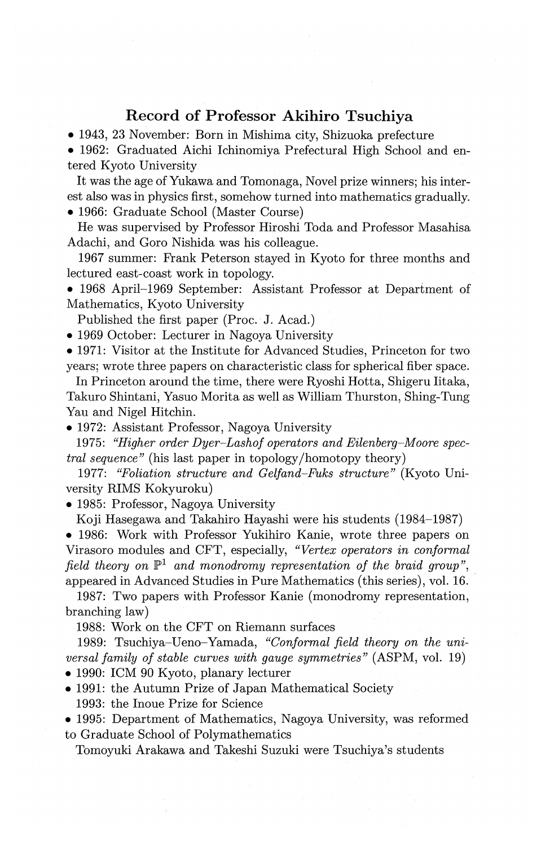## **Record of Professor Akihiro Tsuchiya**

• 1943, 23 November: Born in Mishima city, Shizuoka prefecture

• 1962: Graduated Aichi Ichinomiya Prefectural High School and entered Kyoto University

It was the age of Yukawa and Tomonaga, Novel prize winners; his interest also was in physics first, somehow turned into mathematics gradually. • 1966: Graduate School (Master Course)

He was supervised by Professor Hiroshi Toda and Professor Masahisa Adachi, and Goro Nishida was his colleague.

1967 summer: Frank Peterson stayed in Kyoto for three months and lectured east-coast work in topology.

• 1968 April-1969 September: Assistant Professor at Department of Mathematics, Kyoto University

Published the first paper (Proc. J. Acad.)

• 1969 October: Lecturer in Nagoya University

• 1971: Visitor at the Institute for Advanced Studies, Princeton for two years; wrote three papers on characteristic class for spherical fiber space.

In Princeton around the time, there were Ryoshi Hotta, Shigeru Iitaka, Takuro Shintani, Yasuo Morita as well as William Thurston, Shing-Tung Yau and Nigel Hitchin.

• 1972: Assistant Professor, Nagoya University

1975: *"Higher order Dyer-Lashof operators and Eilenberg-Moore spectral sequence"* (his last paper in topology /homotopy theory)

1977: *"Foliation structure and Gelfand-Fuks structure"* (Kyoto University RIMS Kokyuroku)

• 1985: Professor, Nagoya University

Koji Hasegawa and Takahiro Hayashi were his students (1984-1987)

• 1986: Work with Professor Yukihiro Kanie, wrote three papers on Virasoro modules and CFT, especially, *"Vertex operators in conformal field theory on*  $\mathbb{P}^1$  *and monodromy representation of the braid group*", appeared in Advanced Studies in Pure Mathematics (this series), vol. 16.

1987: Two papers with Professor Kanie (monodromy representation, branching law)

1988: Work on the CFT on Riemann surfaces

1989: Tsuchiya-Ueno-Yamada, *"Conformal field theory on the universal family of stable curves with gauge symmetries"* (ASPM, vol. 19)

• 1990: ICM 90 Kyoto, planary lecturer

• 1991: the Autumn Prize of Japan Mathematical Society 1993: the Inoue Prize for Science

• 1995: Department of Mathematics, Nagoya University, was reformed to Graduate School of Polymathematics

Tomoyuki Arakawa and Takeshi Suzuki were Tsuchiya's students